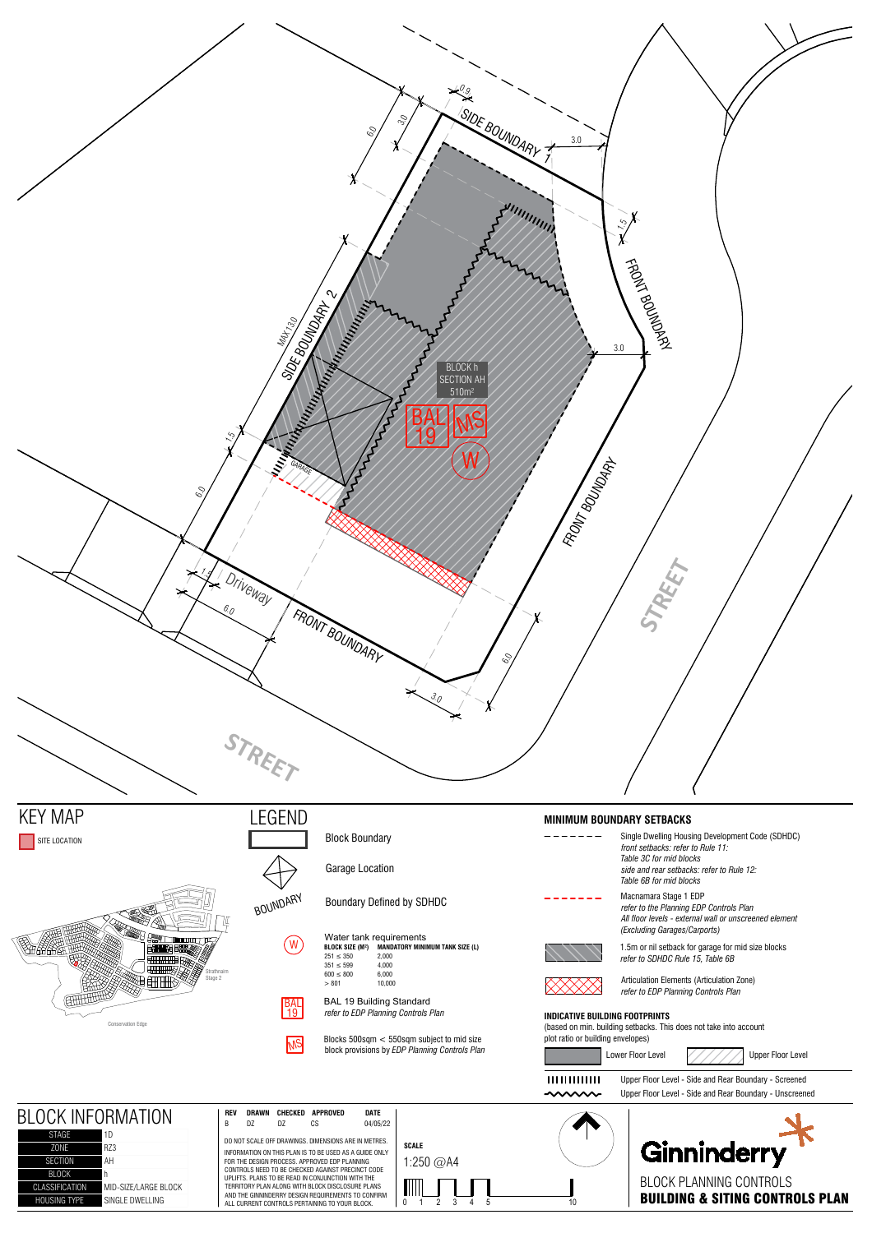

CLASSIFICATION MID-SIZE/LARGE BLOCK HOUSING TYPE SINGLE DWELLING

AND THE GINNINDERRY DESIGN REQUIREMENTS TO CONFIRM ALL CURRENT CONTROLS PERTAINING TO YOUR BLOCK.

BLOCK PLANNING CONTROLS MILLETTE MARKET HANDING & SITING CONTROLS PLAN<br>20 1 2 3 4 5 10 10 10 10 10 BUILDING & SITING CONTROLS PLAN